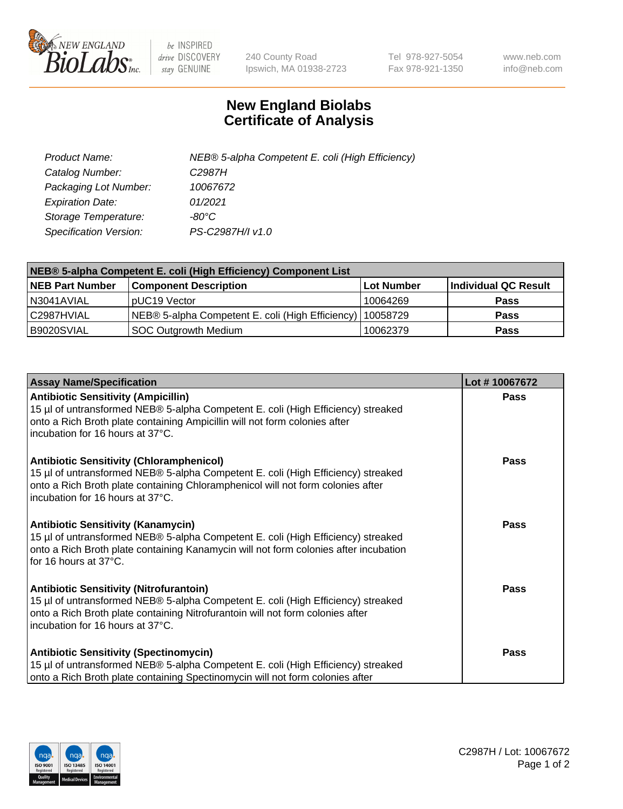

 $be$  INSPIRED drive DISCOVERY stay GENUINE

240 County Road Ipswich, MA 01938-2723 Tel 978-927-5054 Fax 978-921-1350 www.neb.com info@neb.com

## **New England Biolabs Certificate of Analysis**

| Product Name:           | NEB® 5-alpha Competent E. coli (High Efficiency) |
|-------------------------|--------------------------------------------------|
| Catalog Number:         | C <sub>2987</sub> H                              |
| Packaging Lot Number:   | 10067672                                         |
| <b>Expiration Date:</b> | 01/2021                                          |
| Storage Temperature:    | -80°C                                            |
| Specification Version:  | PS-C2987H/I v1.0                                 |

| NEB® 5-alpha Competent E. coli (High Efficiency) Component List |                                                  |            |                      |  |
|-----------------------------------------------------------------|--------------------------------------------------|------------|----------------------|--|
| <b>NEB Part Number</b>                                          | <b>Component Description</b>                     | Lot Number | Individual QC Result |  |
| N3041AVIAL                                                      | pUC19 Vector                                     | 10064269   | <b>Pass</b>          |  |
| C2987HVIAL                                                      | NEB® 5-alpha Competent E. coli (High Efficiency) | 10058729   | <b>Pass</b>          |  |
| B9020SVIAL                                                      | SOC Outgrowth Medium                             | 10062379   | <b>Pass</b>          |  |

| <b>Assay Name/Specification</b>                                                                                                                                                                                                                            | Lot #10067672 |
|------------------------------------------------------------------------------------------------------------------------------------------------------------------------------------------------------------------------------------------------------------|---------------|
| <b>Antibiotic Sensitivity (Ampicillin)</b><br>15 µl of untransformed NEB® 5-alpha Competent E. coli (High Efficiency) streaked<br>onto a Rich Broth plate containing Ampicillin will not form colonies after<br>incubation for 16 hours at 37°C.           | <b>Pass</b>   |
| <b>Antibiotic Sensitivity (Chloramphenicol)</b><br>15 µl of untransformed NEB® 5-alpha Competent E. coli (High Efficiency) streaked<br>onto a Rich Broth plate containing Chloramphenicol will not form colonies after<br>incubation for 16 hours at 37°C. | Pass          |
| Antibiotic Sensitivity (Kanamycin)<br>15 µl of untransformed NEB® 5-alpha Competent E. coli (High Efficiency) streaked<br>onto a Rich Broth plate containing Kanamycin will not form colonies after incubation<br>for 16 hours at 37°C.                    | Pass          |
| <b>Antibiotic Sensitivity (Nitrofurantoin)</b><br>15 µl of untransformed NEB® 5-alpha Competent E. coli (High Efficiency) streaked<br>onto a Rich Broth plate containing Nitrofurantoin will not form colonies after<br>incubation for 16 hours at 37°C.   | <b>Pass</b>   |
| <b>Antibiotic Sensitivity (Spectinomycin)</b><br>15 µl of untransformed NEB® 5-alpha Competent E. coli (High Efficiency) streaked<br>onto a Rich Broth plate containing Spectinomycin will not form colonies after                                         | Pass          |